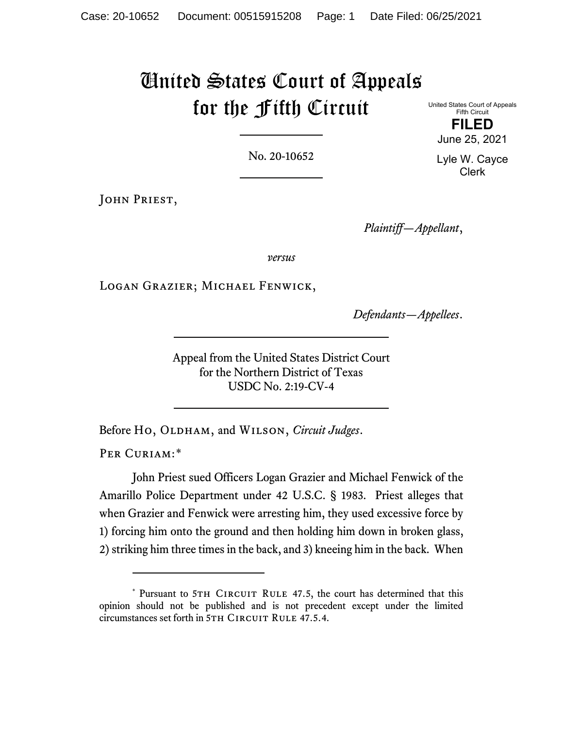# United States Court of Appeals for the Fifth Circuit

United States Court of Appeals Fifth Circuit **FILED** June 25, 2021

No. 20-10652

JOHN PRIEST,

*Plaintiff—Appellant*,

*versus*

Logan Grazier; Michael Fenwick,

*Defendants—Appellees*.

Appeal from the United States District Court for the Northern District of Texas USDC No. 2:19-CV-4

Before Ho, OLDHAM, and WILSON, *Circuit Judges*.

PER CURIAM:[\\*](#page-0-0)

John Priest sued Officers Logan Grazier and Michael Fenwick of the Amarillo Police Department under 42 U.S.C. § 1983. Priest alleges that when Grazier and Fenwick were arresting him, they used excessive force by 1) forcing him onto the ground and then holding him down in broken glass, 2) striking him three times in the back, and 3) kneeing him in the back. When

Lyle W. Cayce Clerk

<span id="page-0-0"></span><sup>\*</sup> Pursuant to 5TH CIRCUIT RULE 47.5, the court has determined that this opinion should not be published and is not precedent except under the limited circumstances set forth in 5TH CIRCUIT RULE 47.5.4.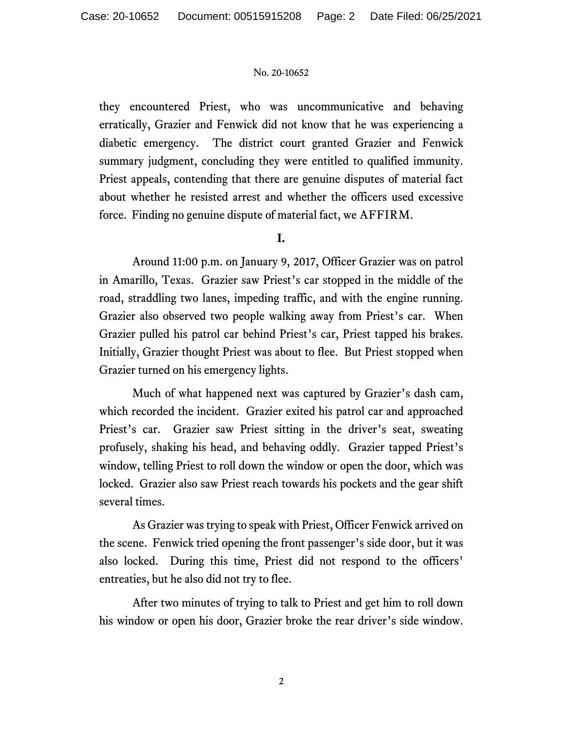they encountered Priest, who was uncommunicative and behaving erratically, Grazier and Fenwick did not know that he was experiencing a diabetic emergency. The district court granted Grazier and Fenwick summary judgment, concluding they were entitled to qualified immunity. Priest appeals, contending that there are genuine disputes of material fact about whether he resisted arrest and whether the officers used excessive force. Finding no genuine dispute of material fact, we AFFIRM.

# **I.**

Around 11:00 p.m. on January 9, 2017, Officer Grazier was on patrol in Amarillo, Texas. Grazier saw Priest's car stopped in the middle of the road, straddling two lanes, impeding traffic, and with the engine running. Grazier also observed two people walking away from Priest's car. When Grazier pulled his patrol car behind Priest's car, Priest tapped his brakes. Initially, Grazier thought Priest was about to flee. But Priest stopped when Grazier turned on his emergency lights.

Much of what happened next was captured by Grazier's dash cam, which recorded the incident. Grazier exited his patrol car and approached Priest's car. Grazier saw Priest sitting in the driver's seat, sweating profusely, shaking his head, and behaving oddly.Grazier tapped Priest's window, telling Priest to roll down the window or open the door, which was locked. Grazier also saw Priest reach towards his pockets and the gear shift several times.

As Grazier was trying to speak with Priest, Officer Fenwick arrived on the scene. Fenwick tried opening the front passenger's side door, but it was also locked. During this time, Priest did not respond to the officers' entreaties, but he also did not try to flee.

After two minutes of trying to talk to Priest and get him to roll down his window or open his door, Grazier broke the rear driver's side window.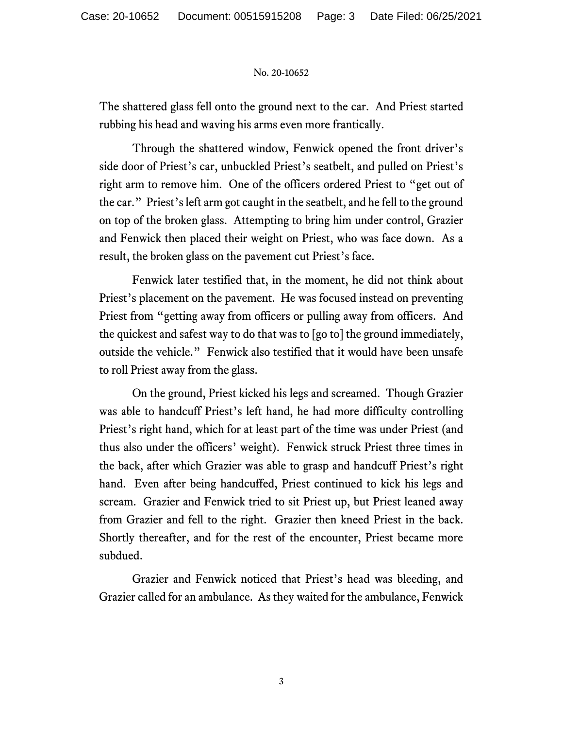The shattered glass fell onto the ground next to the car. And Priest started rubbing his head and waving his arms even more frantically.

Through the shattered window, Fenwick opened the front driver's side door of Priest's car, unbuckled Priest's seatbelt, and pulled on Priest's right arm to remove him. One of the officers ordered Priest to "get out of the car." Priest's left arm got caught in the seatbelt, and he fell to the ground on top of the broken glass. Attempting to bring him under control, Grazier and Fenwick then placed their weight on Priest, who was face down. As a result, the broken glass on the pavement cut Priest's face.

Fenwick later testified that, in the moment, he did not think about Priest's placement on the pavement. He was focused instead on preventing Priest from "getting away from officers or pulling away from officers. And the quickest and safest way to do that was to [go to] the ground immediately, outside the vehicle." Fenwick also testified that it would have been unsafe to roll Priest away from the glass.

On the ground, Priest kicked his legs and screamed.Though Grazier was able to handcuff Priest's left hand, he had more difficulty controlling Priest's right hand, which for at least part of the time was under Priest (and thus also under the officers' weight). Fenwick struck Priest three times in the back, after which Grazier was able to grasp and handcuff Priest's right hand. Even after being handcuffed, Priest continued to kick his legs and scream. Grazier and Fenwick tried to sit Priest up, but Priest leaned away from Grazier and fell to the right.Grazier then kneed Priest in the back. Shortly thereafter, and for the rest of the encounter, Priest became more subdued.

Grazier and Fenwick noticed that Priest's head was bleeding, and Grazier called for an ambulance. As they waited for the ambulance, Fenwick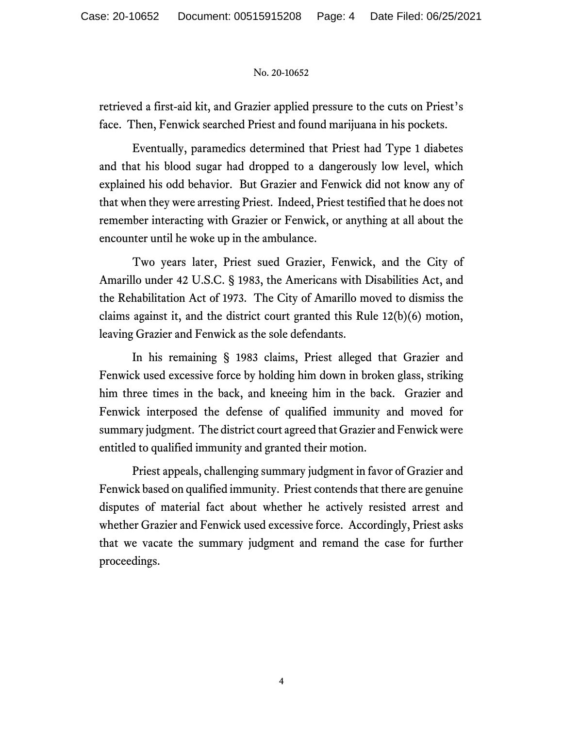retrieved a first-aid kit, and Grazier applied pressure to the cuts on Priest's face. Then, Fenwick searched Priest and found marijuana in his pockets.

Eventually, paramedics determined that Priest had Type 1 diabetes and that his blood sugar had dropped to a dangerously low level, which explained his odd behavior. But Grazier and Fenwick did not know any of that when they were arresting Priest. Indeed, Priest testified that he does not remember interacting with Grazier or Fenwick, or anything at all about the encounter until he woke up in the ambulance.

Two years later, Priest sued Grazier, Fenwick, and the City of Amarillo under 42 U.S.C. § 1983, the Americans with Disabilities Act, and the Rehabilitation Act of 1973. The City of Amarillo moved to dismiss the claims against it, and the district court granted this Rule 12(b)(6) motion, leaving Grazier and Fenwick as the sole defendants.

In his remaining § 1983 claims, Priest alleged that Grazier and Fenwick used excessive force by holding him down in broken glass, striking him three times in the back, and kneeing him in the back. Grazier and Fenwick interposed the defense of qualified immunity and moved for summary judgment. The district court agreed that Grazier and Fenwick were entitled to qualified immunity and granted their motion.

Priest appeals, challenging summary judgment in favor of Grazier and Fenwick based on qualified immunity. Priest contends that there are genuine disputes of material fact about whether he actively resisted arrest and whether Grazier and Fenwick used excessive force. Accordingly, Priest asks that we vacate the summary judgment and remand the case for further proceedings.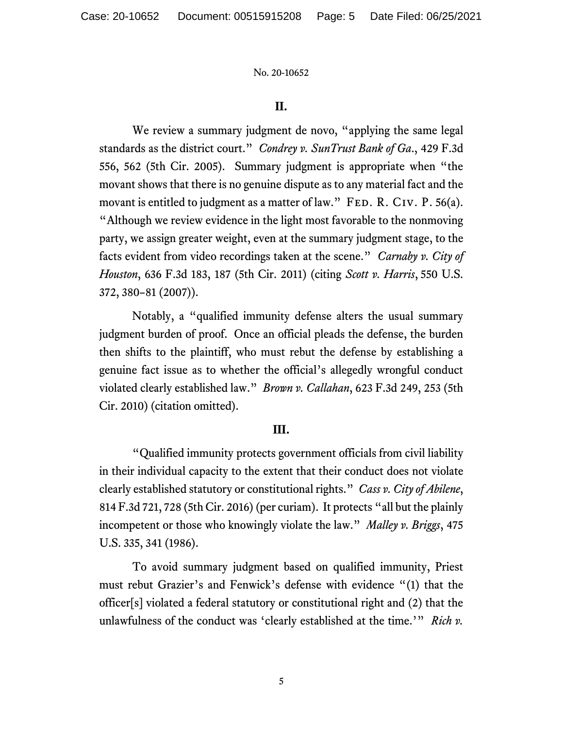## **II.**

We review a summary judgment de novo, "applying the same legal standards as the district court." *Condrey v. SunTrust Bank of Ga*., 429 F.3d 556, 562 (5th Cir. 2005). Summary judgment is appropriate when "the movant shows that there is no genuine dispute as to any material fact and the movant is entitled to judgment as a matter of law." FED. R. CIV. P. 56(a). "Although we review evidence in the light most favorable to the nonmoving party, we assign greater weight, even at the summary judgment stage, to the facts evident from video recordings taken at the scene." *Carnaby v. City of Houston*, 636 F.3d 183, 187 (5th Cir. 2011) (citing *Scott v. Harris*, 550 U.S. 372, 380–81 (2007)).

Notably, a "qualified immunity defense alters the usual summary judgment burden of proof. Once an official pleads the defense, the burden then shifts to the plaintiff, who must rebut the defense by establishing a genuine fact issue as to whether the official's allegedly wrongful conduct violated clearly established law." *Brown v. Callahan*, 623 F.3d 249, 253 (5th Cir. 2010) (citation omitted).

## **III.**

"Qualified immunity protects government officials from civil liability in their individual capacity to the extent that their conduct does not violate clearly established statutory or constitutional rights." *Cass v. City of Abilene*, 814 F.3d 721, 728 (5th Cir. 2016) (per curiam). It protects "all but the plainly incompetent or those who knowingly violate the law." *Malley v. Briggs*, 475 U.S. 335, 341 (1986).

To avoid summary judgment based on qualified immunity, Priest must rebut Grazier's and Fenwick's defense with evidence "(1) that the officer[s] violated a federal statutory or constitutional right and (2) that the unlawfulness of the conduct was 'clearly established at the time.'" *Rich v.*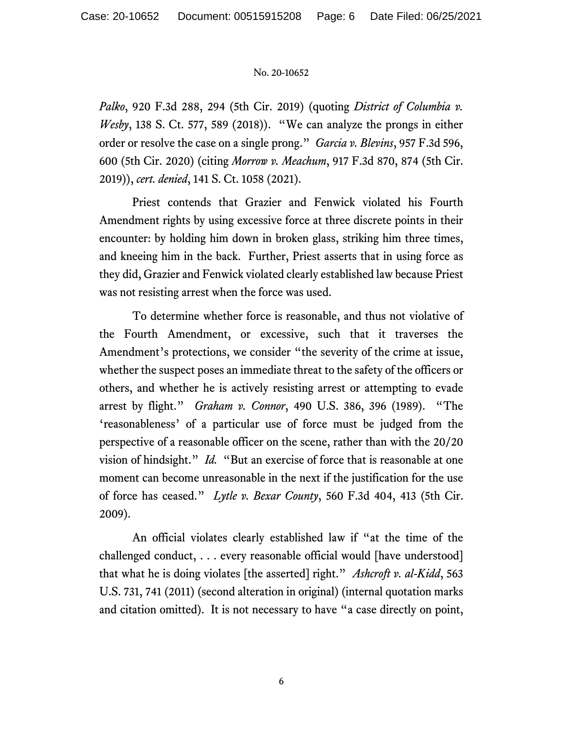*Palko*, 920 F.3d 288, 294 (5th Cir. 2019) (quoting *District of Columbia v. Wesby*, 138 S. Ct. 577, 589 (2018)). "We can analyze the prongs in either order or resolve the case on a single prong." *Garcia v. Blevins*, 957 F.3d 596, 600 (5th Cir. 2020) (citing *Morrow v. Meachum*, 917 F.3d 870, 874 (5th Cir. 2019)), *cert. denied*, 141 S. Ct. 1058 (2021).

Priest contends that Grazier and Fenwick violated his Fourth Amendment rights by using excessive force at three discrete points in their encounter: by holding him down in broken glass, striking him three times, and kneeing him in the back. Further, Priest asserts that in using force as they did, Grazier and Fenwick violated clearly established law because Priest was not resisting arrest when the force was used.

To determine whether force is reasonable, and thus not violative of the Fourth Amendment, or excessive, such that it traverses the Amendment's protections, we consider "the severity of the crime at issue, whether the suspect poses an immediate threat to the safety of the officers or others, and whether he is actively resisting arrest or attempting to evade arrest by flight." *Graham v. Connor*, 490 U.S. 386, 396 (1989). "The 'reasonableness' of a particular use of force must be judged from the perspective of a reasonable officer on the scene, rather than with the 20/20 vision of hindsight." *Id.* "But an exercise of force that is reasonable at one moment can become unreasonable in the next if the justification for the use of force has ceased." *Lytle v. Bexar County*, 560 F.3d 404, 413 (5th Cir. 2009).

An official violates clearly established law if "at the time of the challenged conduct, . . . every reasonable official would [have understood] that what he is doing violates [the asserted] right." *Ashcroft v. al-Kidd*, 563 U.S. 731, 741 (2011) (second alteration in original) (internal quotation marks and citation omitted). It is not necessary to have "a case directly on point,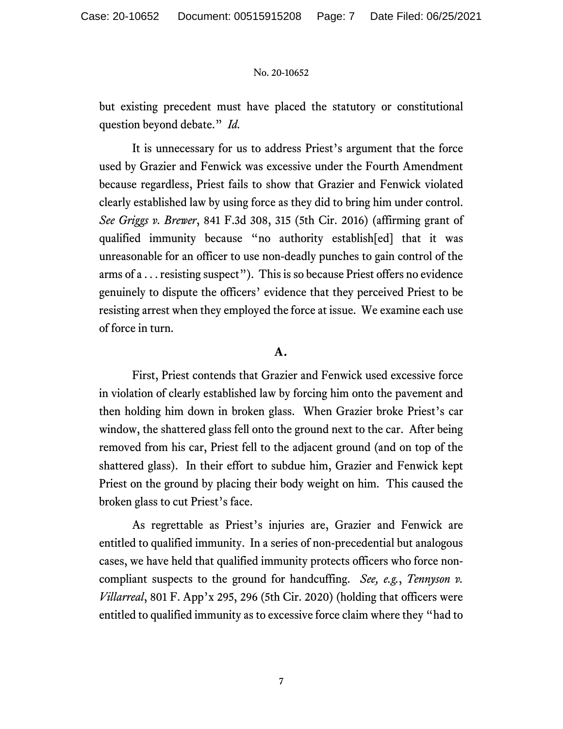but existing precedent must have placed the statutory or constitutional question beyond debate." *Id.*

It is unnecessary for us to address Priest's argument that the force used by Grazier and Fenwick was excessive under the Fourth Amendment because regardless, Priest fails to show that Grazier and Fenwick violated clearly established law by using force as they did to bring him under control. *See Griggs v. Brewer*, 841 F.3d 308, 315 (5th Cir. 2016) (affirming grant of qualified immunity because "no authority establish[ed] that it was unreasonable for an officer to use non-deadly punches to gain control of the arms of a . . . resisting suspect"). This is so because Priest offers no evidence genuinely to dispute the officers' evidence that they perceived Priest to be resisting arrest when they employed the force at issue. We examine each use of force in turn.

## **A.**

First, Priest contends that Grazier and Fenwick used excessive force in violation of clearly established law by forcing him onto the pavement and then holding him down in broken glass. When Grazier broke Priest's car window, the shattered glass fell onto the ground next to the car. After being removed from his car, Priest fell to the adjacent ground (and on top of the shattered glass). In their effort to subdue him, Grazier and Fenwick kept Priest on the ground by placing their body weight on him.This caused the broken glass to cut Priest's face.

As regrettable as Priest's injuries are, Grazier and Fenwick are entitled to qualified immunity. In a series of non-precedential but analogous cases, we have held that qualified immunity protects officers who force noncompliant suspects to the ground for handcuffing. *See, e.g.*, *Tennyson v. Villarreal*, 801 F. App'x 295, 296 (5th Cir. 2020) (holding that officers were entitled to qualified immunity as to excessive force claim where they "had to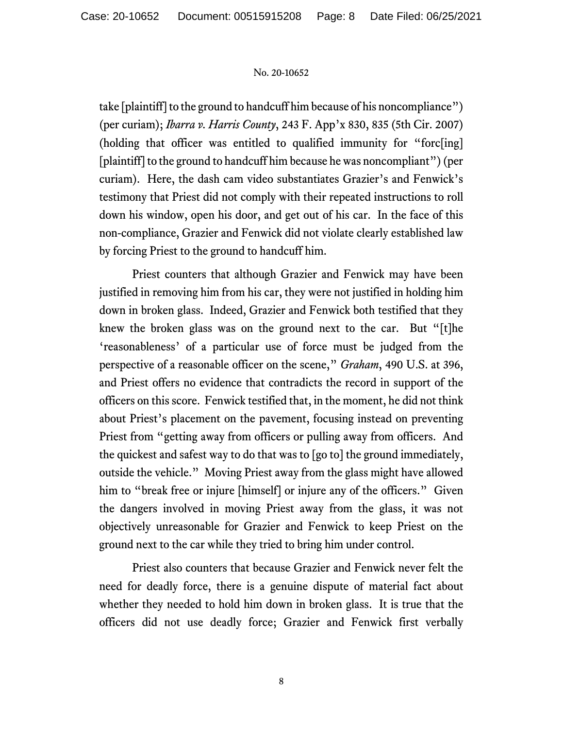take [plaintiff] to the ground to handcuff him because of his noncompliance") (per curiam); *Ibarra v. Harris County*, 243 F. App'x 830, 835 (5th Cir. 2007) (holding that officer was entitled to qualified immunity for "forc[ing] [plaintiff] to the ground to handcuff him because he was noncompliant")(per curiam). Here, the dash cam video substantiates Grazier's and Fenwick's testimony that Priest did not comply with their repeated instructions to roll down his window, open his door, and get out of his car.In the face of this non-compliance, Grazier and Fenwick did not violate clearly established law by forcing Priest to the ground to handcuff him.

Priest counters that although Grazier and Fenwick may have been justified in removing him from his car, they were not justified in holding him down in broken glass. Indeed, Grazier and Fenwick both testified that they knew the broken glass was on the ground next to the car.But "[t]he 'reasonableness' of a particular use of force must be judged from the perspective of a reasonable officer on the scene," *Graham*, 490 U.S. at 396, and Priest offers no evidence that contradicts the record in support of the officers on this score. Fenwick testified that, in the moment, he did not think about Priest's placement on the pavement, focusing instead on preventing Priest from "getting away from officers or pulling away from officers. And the quickest and safest way to do that was to [go to] the ground immediately, outside the vehicle." Moving Priest away from the glass might have allowed him to "break free or injure [himself] or injure any of the officers." Given the dangers involved in moving Priest away from the glass, it was not objectively unreasonable for Grazier and Fenwick to keep Priest on the ground next to the car while they tried to bring him under control.

Priest also counters that because Grazier and Fenwick never felt the need for deadly force, there is a genuine dispute of material fact about whether they needed to hold him down in broken glass. It is true that the officers did not use deadly force; Grazier and Fenwick first verbally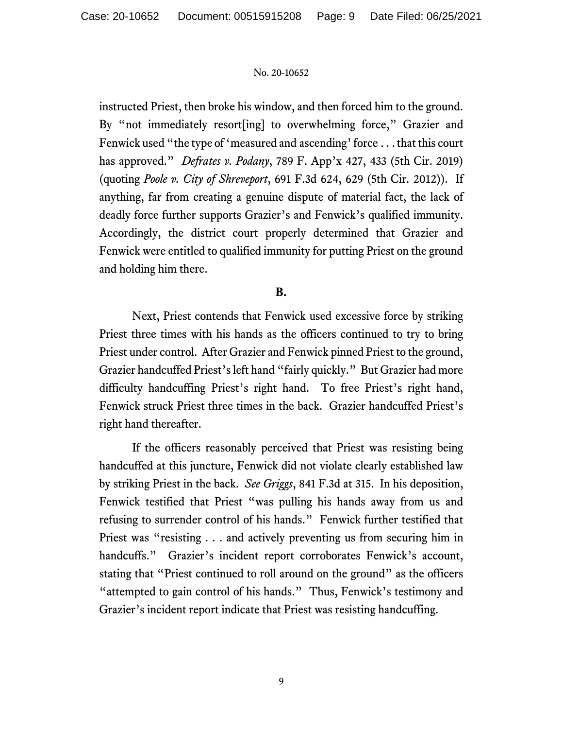instructed Priest, then broke his window, and then forced him to the ground. By "not immediately resort [ing] to overwhelming force," Grazier and Fenwick used "the type of 'measured and ascending' force . . . that this court has approved." *Defrates v. Podany*, 789 F. App'x 427, 433 (5th Cir. 2019) (quoting *Poole v. City of Shreveport*, 691 F.3d 624, 629 (5th Cir. 2012)). If anything, far from creating a genuine dispute of material fact, the lack of deadly force further supports Grazier's and Fenwick's qualified immunity. Accordingly, the district court properly determined that Grazier and Fenwick were entitled to qualified immunity for putting Priest on the ground and holding him there.

# **B.**

Next, Priest contends that Fenwick used excessive force by striking Priest three times with his hands as the officers continued to try to bring Priest under control. After Grazier and Fenwick pinned Priest to the ground, Grazier handcuffed Priest's left hand "fairly quickly." But Grazier had more difficulty handcuffing Priest's right hand. To free Priest's right hand, Fenwick struck Priest three times in the back. Grazier handcuffed Priest's right hand thereafter.

If the officers reasonably perceived that Priest was resisting being handcuffed at this juncture, Fenwick did not violate clearly established law by striking Priest in the back. *See Griggs*, 841 F.3d at 315. In his deposition, Fenwick testified that Priest "was pulling his hands away from us and refusing to surrender control of his hands."Fenwick further testified that Priest was "resisting . . . and actively preventing us from securing him in handcuffs."Grazier's incident report corroborates Fenwick's account, stating that "Priest continued to roll around on the ground" as the officers "attempted to gain control of his hands." Thus, Fenwick's testimony and Grazier's incident report indicate that Priest was resisting handcuffing.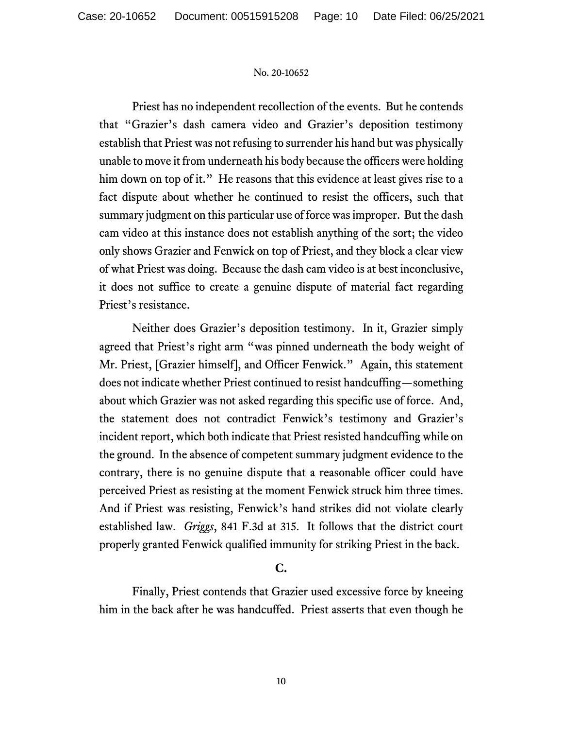Priest has no independent recollection of the events. But he contends that "Grazier's dash camera video and Grazier's deposition testimony establish that Priest was not refusing to surrender his hand but was physically unable to move it from underneath his body because the officers were holding him down on top of it." He reasons that this evidence at least gives rise to a fact dispute about whether he continued to resist the officers, such that summary judgment on this particular use of force was improper. But the dash cam video at this instance does not establish anything of the sort; the video only shows Grazier and Fenwick on top of Priest, and they block a clear view of what Priest was doing.Because the dash cam video is at best inconclusive, it does not suffice to create a genuine dispute of material fact regarding Priest's resistance.

Neither does Grazier's deposition testimony. In it, Grazier simply agreed that Priest's right arm "was pinned underneath the body weight of Mr. Priest, [Grazier himself], and Officer Fenwick."Again, this statement does not indicate whether Priest continued to resist handcuffing—something about which Grazier was not asked regarding this specific use of force. And, the statement does not contradict Fenwick's testimony and Grazier's incident report, which both indicate that Priest resisted handcuffing while on the ground. In the absence of competent summary judgment evidence to the contrary, there is no genuine dispute that a reasonable officer could have perceived Priest as resisting at the moment Fenwick struck him three times. And if Priest was resisting, Fenwick's hand strikes did not violate clearly established law. *Griggs*, 841 F.3d at 315. It follows that the district court properly granted Fenwick qualified immunity for striking Priest in the back.

# **C.**

Finally, Priest contends that Grazier used excessive force by kneeing him in the back after he was handcuffed. Priest asserts that even though he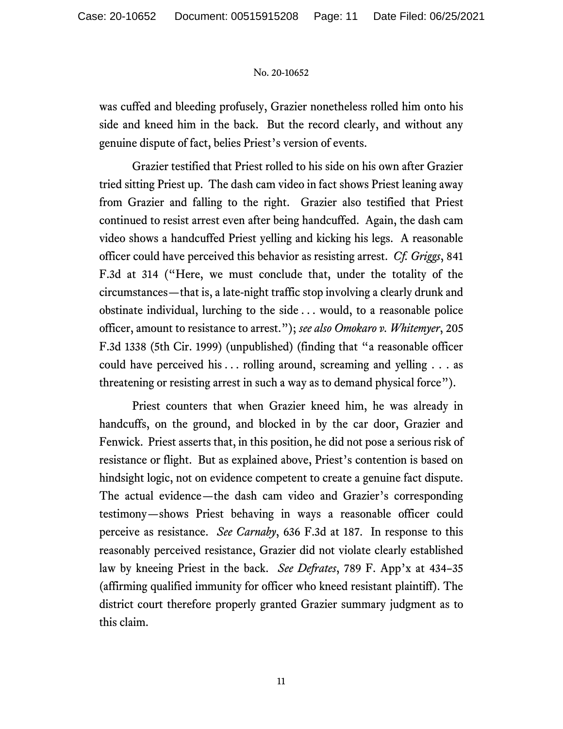was cuffed and bleeding profusely, Grazier nonetheless rolled him onto his side and kneed him in the back. But the record clearly, and without any genuine dispute of fact, belies Priest's version of events.

Grazier testified that Priest rolled to his side on his own after Grazier tried sitting Priest up.The dash cam video in fact shows Priest leaning away from Grazier and falling to the right.Grazier also testified that Priest continued to resist arrest even after being handcuffed. Again, the dash cam video shows a handcuffed Priest yelling and kicking his legs.A reasonable officer could have perceived this behavior as resisting arrest.*Cf. Griggs*, 841 F.3d at 314 ("Here, we must conclude that, under the totality of the circumstances—that is, a late-night traffic stop involving a clearly drunk and obstinate individual, lurching to the side . . . would, to a reasonable police officer, amount to resistance to arrest."); *see also Omokaro v. Whitemyer*, 205 F.3d 1338 (5th Cir. 1999) (unpublished) (finding that "a reasonable officer could have perceived his  $\dots$  rolling around, screaming and yelling  $\dots$  as threatening or resisting arrest in such a way as to demand physical force").

Priest counters that when Grazier kneed him, he was already in handcuffs, on the ground, and blocked in by the car door, Grazier and Fenwick. Priest asserts that, in this position, he did not pose a serious risk of resistance or flight. But as explained above, Priest's contention is based on hindsight logic, not on evidence competent to create a genuine fact dispute. The actual evidence*—*the dash cam video and Grazier's corresponding testimony*—*shows Priest behaving in ways a reasonable officer could perceive as resistance. *See Carnaby*, 636 F.3d at 187.In response to this reasonably perceived resistance, Grazier did not violate clearly established law by kneeing Priest in the back. *See Defrates*, 789 F. App'x at 434–35 (affirming qualified immunity for officer who kneed resistant plaintiff). The district court therefore properly granted Grazier summary judgment as to this claim.